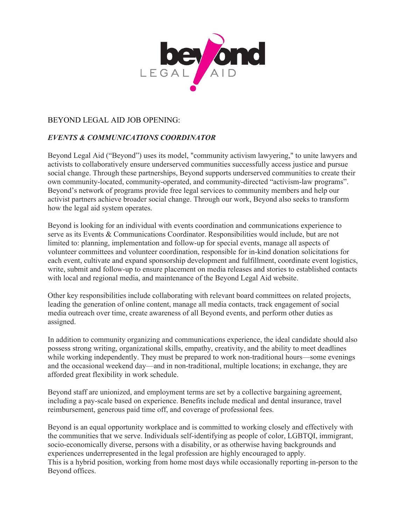

## BEYOND LEGAL AID JOB OPENING:

## *EVENTS & COMMUNICATIONS COORDINATOR*

Beyond Legal Aid ("Beyond") uses its model, "community activism lawyering," to unite lawyers and activists to collaboratively ensure underserved communities successfully access justice and pursue social change. Through these partnerships, Beyond supports underserved communities to create their own community-located, community-operated, and community-directed "activism-law programs". Beyond's network of programs provide free legal services to community members and help our activist partners achieve broader social change. Through our work, Beyond also seeks to transform how the legal aid system operates.

Beyond is looking for an individual with events coordination and communications experience to serve as its Events & Communications Coordinator. Responsibilities would include, but are not limited to: planning, implementation and follow-up for special events, manage all aspects of volunteer committees and volunteer coordination, responsible for in-kind donation solicitations for each event, cultivate and expand sponsorship development and fulfillment, coordinate event logistics, write, submit and follow-up to ensure placement on media releases and stories to established contacts with local and regional media, and maintenance of the Beyond Legal Aid website.

Other key responsibilities include collaborating with relevant board committees on related projects, leading the generation of online content, manage all media contacts, track engagement of social media outreach over time, create awareness of all Beyond events, and perform other duties as assigned.

In addition to community organizing and communications experience, the ideal candidate should also possess strong writing, organizational skills, empathy, creativity, and the ability to meet deadlines while working independently. They must be prepared to work non-traditional hours—some evenings and the occasional weekend day—and in non-traditional, multiple locations; in exchange, they are afforded great flexibility in work schedule.

Beyond staff are unionized, and employment terms are set by a collective bargaining agreement, including a pay-scale based on experience. Benefits include medical and dental insurance, travel reimbursement, generous paid time off, and coverage of professional fees.

Beyond is an equal opportunity workplace and is committed to working closely and effectively with the communities that we serve. Individuals self-identifying as people of color, LGBTQI, immigrant, socio-economically diverse, persons with a disability, or as otherwise having backgrounds and experiences underrepresented in the legal profession are highly encouraged to apply. This is a hybrid position, working from home most days while occasionally reporting in-person to the Beyond offices.